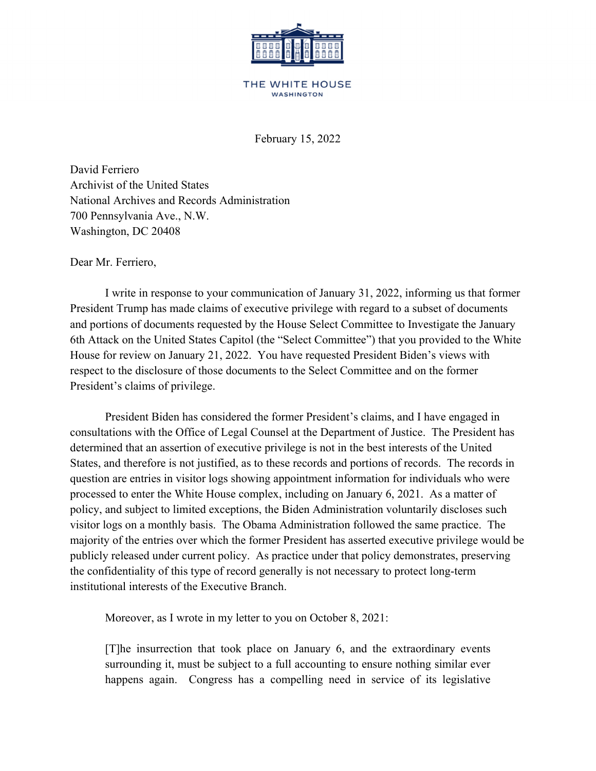

## THE WHITE HOUSE WASHINGTON

February 15, 2022

David Ferriero Archivist of the United States National Archives and Records Administration 700 Pennsylvania Ave., N.W. Washington, DC 20408

Dear Mr. Ferriero,

I write in response to your communication of January 31, 2022, informing us that former President Trump has made claims of executive privilege with regard to a subset of documents and portions of documents requested by the House Select Committee to Investigate the January 6th Attack on the United States Capitol (the "Select Committee") that you provided to the White House for review on January 21, 2022. You have requested President Biden's views with respect to the disclosure of those documents to the Select Committee and on the former President's claims of privilege.

President Biden has considered the former President's claims, and I have engaged in consultations with the Office of Legal Counsel at the Department of Justice. The President has determined that an assertion of executive privilege is not in the best interests of the United States, and therefore is not justified, as to these records and portions of records. The records in question are entries in visitor logs showing appointment information for individuals who were processed to enter the White House complex, including on January 6, 2021. As a matter of policy, and subject to limited exceptions, the Biden Administration voluntarily discloses such visitor logs on a monthly basis. The Obama Administration followed the same practice. The majority of the entries over which the former President has asserted executive privilege would be publicly released under current policy. As practice under that policy demonstrates, preserving the confidentiality of this type of record generally is not necessary to protect long-term institutional interests of the Executive Branch.

Moreover, as I wrote in my letter to you on October 8, 2021:

[T]he insurrection that took place on January 6, and the extraordinary events surrounding it, must be subject to a full accounting to ensure nothing similar ever happens again. Congress has a compelling need in service of its legislative